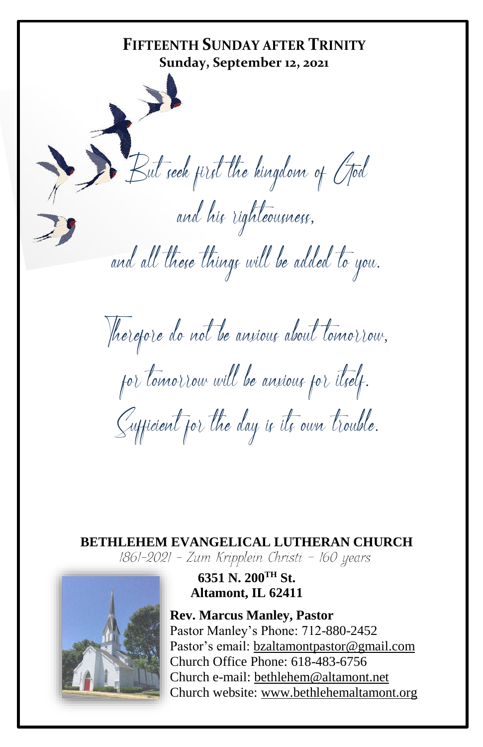**FIFTEENTH SUNDAY AFTER TRINITY Sunday, September 12, 2021** But seek first the kingdom of God and his righteousness, and all these things will be added to you. Therefore do not be anxious about tomorrow, for tomorrow will be anxious for itself. Sufficient for the day is its own trouble.

**BETHLEHEM EVANGELICAL LUTHERAN CHURCH** 1861-2021 - Zum Kripplein Christi - 160 years



#### **6351 N. 200TH St. Altamont, IL 62411**

**Rev. Marcus Manley, Pastor** Pastor Manley's Phone: 712-880-2452 Pastor's email[: bzaltamontpastor@gmail.com](mailto:bzaltamontpastor@gmail.com) Church Office Phone: 618-483-6756 Church e-mail: [bethlehem@altamont.net](mailto:bethlehem@altamont.net)  Church website: [www.bethlehemaltamont.org](http://www.bethlehemaltamont.org/)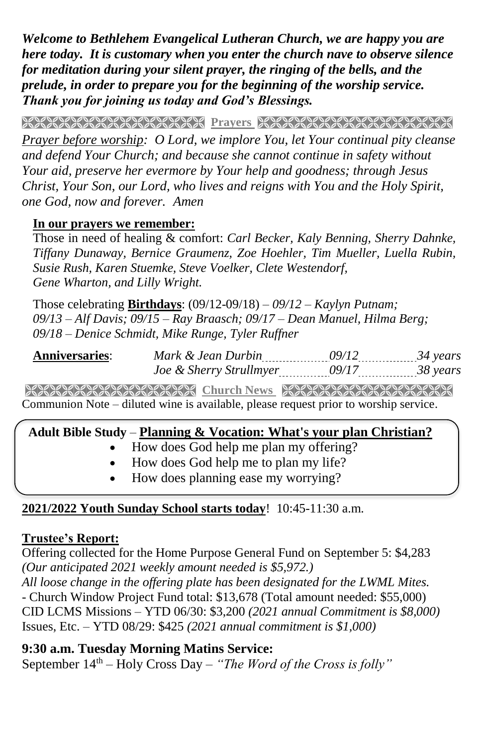*Welcome to Bethlehem Evangelical Lutheran Church, we are happy you are here today. It is customary when you enter the church nave to observe silence for meditation during your silent prayer, the ringing of the bells, and the prelude, in order to prepare you for the beginning of the worship service. Thank you for joining us today and God's Blessings.*

**PRAYARANA NATURAL PROTECT PARAMETERING CONTROLLER** 

*Prayer before worship: O Lord, we implore You, let Your continual pity cleanse and defend Your Church; and because she cannot continue in safety without Your aid, preserve her evermore by Your help and goodness; through Jesus Christ, Your Son, our Lord, who lives and reigns with You and the Holy Spirit, one God, now and forever. Amen* 

#### **In our prayers we remember:**

Those in need of healing & comfort: *Carl Becker, Kaly Benning, Sherry Dahnke, Tiffany Dunaway, Bernice Graumenz, Zoe Hoehler, Tim Mueller, Luella Rubin, Susie Rush, Karen Stuemke, Steve Voelker, Clete Westendorf, Gene Wharton, and Lilly Wright.*

Those celebrating **Birthdays**: (09/12-09/18) *– 09/12 – Kaylyn Putnam; 09/13 – Alf Davis; 09/15 – Ray Braasch; 09/17 – Dean Manuel, Hilma Berg; 09/18 – Denice Schmidt, Mike Runge, Tyler Ruffner* 

| <b>Anniversaries</b> | Mark & Jean Durbin<br>------------------ |                | ---------------- |
|----------------------|------------------------------------------|----------------|------------------|
|                      | Joe & Sherry Strullmyer                  | -------------- | ---------------- |

**Church News Strakers Church News** REAR ARRANGERS Communion Note – diluted wine is available, please request prior to worship service.

#### **Adult Bible Study** – **Planning & Vocation: What's your plan Christian?**

- How does God help me plan my offering?
- How does God help me to plan my life?
- How does planning ease my worrying?

#### **2021/2022 Youth Sunday School starts today**! 10:45-11:30 a.m.

#### **Trustee's Report:**

Offering collected for the Home Purpose General Fund on September 5: \$4,283 *(Our anticipated 2021 weekly amount needed is \$5,972.)* 

*All loose change in the offering plate has been designated for the LWML Mites.* - Church Window Project Fund total: \$13,678 (Total amount needed: \$55,000) CID LCMS Missions – YTD 06/30: \$3,200 *(2021 annual Commitment is \$8,000)* Issues, Etc. – YTD 08/29: \$425 *(2021 annual commitment is \$1,000)*

#### **9:30 a.m. Tuesday Morning Matins Service:**

September 14th – Holy Cross Day – *"The Word of the Cross is folly"*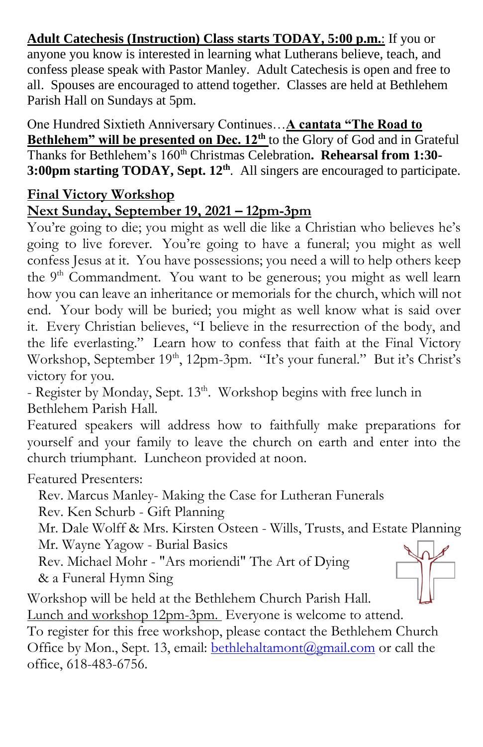**Adult Catechesis (Instruction) Class starts TODAY, 5:00 p.m.**: If you or anyone you know is interested in learning what Lutherans believe, teach, and confess please speak with Pastor Manley. Adult Catechesis is open and free to all. Spouses are encouraged to attend together. Classes are held at Bethlehem Parish Hall on Sundays at 5pm.

One Hundred Sixtieth Anniversary Continues…**A cantata "The Road to Bethlehem" will be presented on Dec. 12th** to the Glory of God and in Grateful Thanks for Bethlehem's 160th Christmas Celebration**. Rehearsal from 1:30- 3:00pm starting TODAY, Sept. 12th**. All singers are encouraged to participate.

## **Final Victory Workshop**

### **Next Sunday, September 19, 2021 – 12pm-3pm**

You're going to die; you might as well die like a Christian who believes he's going to live forever. You're going to have a funeral; you might as well confess Jesus at it. You have possessions; you need a will to help others keep the 9<sup>th</sup> Commandment. You want to be generous; you might as well learn how you can leave an inheritance or memorials for the church, which will not end. Your body will be buried; you might as well know what is said over it. Every Christian believes, "I believe in the resurrection of the body, and the life everlasting." Learn how to confess that faith at the Final Victory Workshop, September 19<sup>th</sup>, 12pm-3pm. "It's your funeral." But it's Christ's victory for you.

- Register by Monday, Sept. 13<sup>th</sup>. Workshop begins with free lunch in Bethlehem Parish Hall.

Featured speakers will address how to faithfully make preparations for yourself and your family to leave the church on earth and enter into the church triumphant. Luncheon provided at noon.

Featured Presenters:

Rev. Marcus Manley- Making the Case for Lutheran Funerals

Rev. Ken Schurb - Gift Planning

Mr. Dale Wolff & Mrs. Kirsten Osteen - Wills, Trusts, and Estate Planning

Mr. Wayne Yagow - Burial Basics

Rev. Michael Mohr - "Ars moriendi" The Art of Dying & a Funeral Hymn Sing

Workshop will be held at the Bethlehem Church Parish Hall. Lunch and workshop 12pm-3pm. Everyone is welcome to attend.

To register for this free workshop, please contact the Bethlehem Church Office by Mon., Sept. 13, email: **[bethlehaltamont@gmail.com](mailto:bethlehaltamont@gmail.com)** or call the office, 618-483-6756.